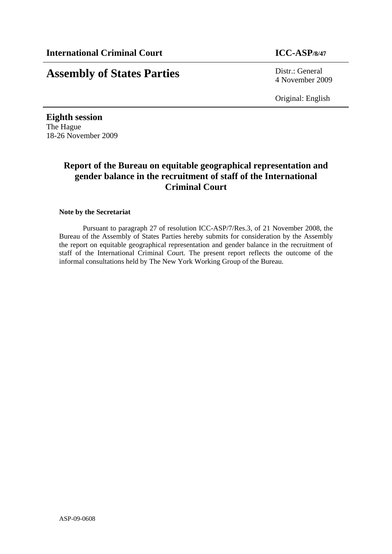# **Assembly of States Parties** Distr.: General

4 November 2009

Original: English

**Eighth session**  The Hague 18-26 November 2009

# **Report of the Bureau on equitable geographical representation and gender balance in the recruitment of staff of the International Criminal Court**

#### **Note by the Secretariat**

Pursuant to paragraph 27 of resolution ICC-ASP/7/Res.3, of 21 November 2008, the Bureau of the Assembly of States Parties hereby submits for consideration by the Assembly the report on equitable geographical representation and gender balance in the recruitment of staff of the International Criminal Court. The present report reflects the outcome of the informal consultations held by The New York Working Group of the Bureau.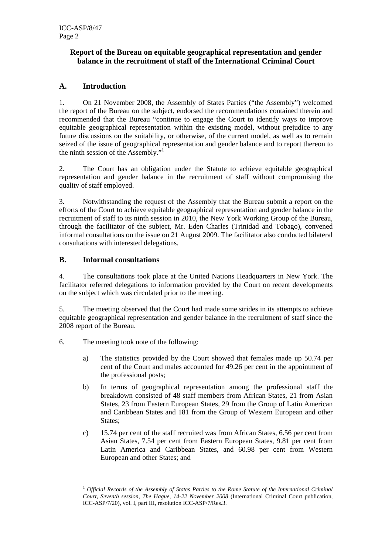## **Report of the Bureau on equitable geographical representation and gender balance in the recruitment of staff of the International Criminal Court**

## **A. Introduction**

1. On 21 November 2008, the Assembly of States Parties ("the Assembly") welcomed the report of the Bureau on the subject, endorsed the recommendations contained therein and recommended that the Bureau "continue to engage the Court to identify ways to improve equitable geographical representation within the existing model, without prejudice to any future discussions on the suitability, or otherwise, of the current model, as well as to remain seized of the issue of geographical representation and gender balance and to report thereon to the ninth session of the Assembly."<sup>1</sup>

2. The Court has an obligation under the Statute to achieve equitable geographical representation and gender balance in the recruitment of staff without compromising the quality of staff employed.

3. Notwithstanding the request of the Assembly that the Bureau submit a report on the efforts of the Court to achieve equitable geographical representation and gender balance in the recruitment of staff to its ninth session in 2010, the New York Working Group of the Bureau, through the facilitator of the subject, Mr. Eden Charles (Trinidad and Tobago), convened informal consultations on the issue on 21 August 2009. The facilitator also conducted bilateral consultations with interested delegations.

## **B. Informal consultations**

4. The consultations took place at the United Nations Headquarters in New York. The facilitator referred delegations to information provided by the Court on recent developments on the subject which was circulated prior to the meeting.

5. The meeting observed that the Court had made some strides in its attempts to achieve equitable geographical representation and gender balance in the recruitment of staff since the 2008 report of the Bureau.

- 6. The meeting took note of the following:
	- a) The statistics provided by the Court showed that females made up 50.74 per cent of the Court and males accounted for 49.26 per cent in the appointment of the professional posts;
	- b) In terms of geographical representation among the professional staff the breakdown consisted of 48 staff members from African States, 21 from Asian States, 23 from Eastern European States, 29 from the Group of Latin American and Caribbean States and 181 from the Group of Western European and other States:
	- c) 15.74 per cent of the staff recruited was from African States, 6.56 per cent from Asian States, 7.54 per cent from Eastern European States, 9.81 per cent from Latin America and Caribbean States, and 60.98 per cent from Western European and other States; and

<sup>1&</sup>lt;sup>1</sup>  *Official Records of the Assembly of States Parties to the Rome Statute of the International Criminal Court, Seventh session, The Hague, 14-22 November 2008* (International Criminal Court publication, ICC-ASP/7/20), vol. I, part III, resolution ICC-ASP/7/Res.3.